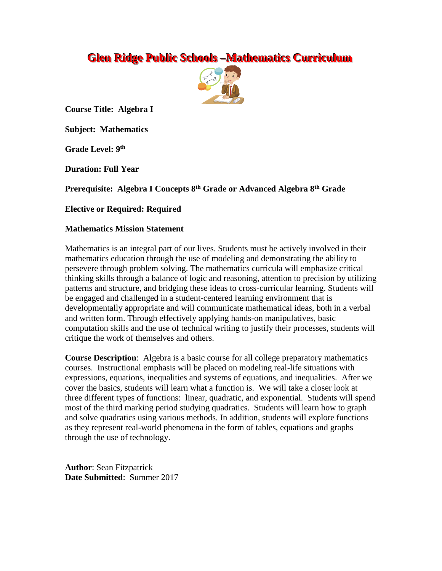# **Glen Ridge Public Schools -Mathematics Curriculum**



**Course Title: Algebra I**

**Subject: Mathematics**

**Grade Level: 9 th**

**Duration: Full Year**

**Prerequisite: Algebra I Concepts 8th Grade or Advanced Algebra 8th Grade**

**Elective or Required: Required**

## **Mathematics Mission Statement**

Mathematics is an integral part of our lives. Students must be actively involved in their mathematics education through the use of modeling and demonstrating the ability to persevere through problem solving. The mathematics curricula will emphasize critical thinking skills through a balance of logic and reasoning, attention to precision by utilizing patterns and structure, and bridging these ideas to cross-curricular learning. Students will be engaged and challenged in a student-centered learning environment that is developmentally appropriate and will communicate mathematical ideas, both in a verbal and written form. Through effectively applying hands-on manipulatives, basic computation skills and the use of technical writing to justify their processes, students will critique the work of themselves and others.

**Course Description**: Algebra is a basic course for all college preparatory mathematics courses. Instructional emphasis will be placed on modeling real-life situations with expressions, equations, inequalities and systems of equations, and inequalities. After we cover the basics, students will learn what a function is. We will take a closer look at three different types of functions: linear, quadratic, and exponential. Students will spend most of the third marking period studying quadratics. Students will learn how to graph and solve quadratics using various methods. In addition, students will explore functions as they represent real-world phenomena in the form of tables, equations and graphs through the use of technology.

**Author**: Sean Fitzpatrick **Date Submitted**: Summer 2017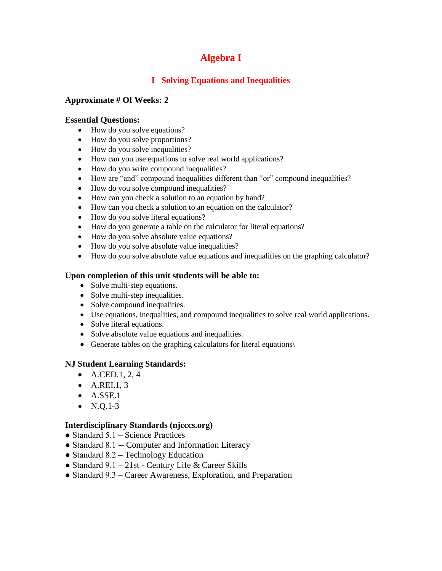# **Algebra I**

# **I Solving Equations and Inequalities**

## **Approximate # Of Weeks: 2**

## **Essential Questions:**

- How do you solve equations?
- How do you solve proportions?
- How do you solve inequalities?
- How can you use equations to solve real world applications?
- How do you write compound inequalities?
- How are "and" compound inequalities different than "or" compound inequalities?
- How do you solve compound inequalities?
- How can you check a solution to an equation by hand?
- How can you check a solution to an equation on the calculator?
- How do you solve literal equations?
- How do you generate a table on the calculator for literal equations?
- How do you solve absolute value equations?
- How do you solve absolute value inequalities?
- How do you solve absolute value equations and inequalities on the graphing calculator?

## **Upon completion of this unit students will be able to:**

- Solve multi-step equations.
- Solve multi-step inequalities.
- Solve compound inequalities.
- Use equations, inequalities, and compound inequalities to solve real world applications.
- Solve literal equations.
- Solve absolute value equations and inequalities.
- Generate tables on the graphing calculators for literal equations\

## **NJ Student Learning Standards:**

- $A.$ CED.1, 2, 4
- $\bullet$  A.REI.1, 3
- $\bullet$  A.SSE.1
- $N.Q.1-3$

#### **Interdisciplinary Standards (njcccs.org)**

- Standard  $5.1$  Science Practices
- Standard 8.1 -- Computer and Information Literacy
- Standard 8.2 Technology Education
- Standard  $9.1 21$ st Century Life & Career Skills
- Standard 9.3 Career Awareness, Exploration, and Preparation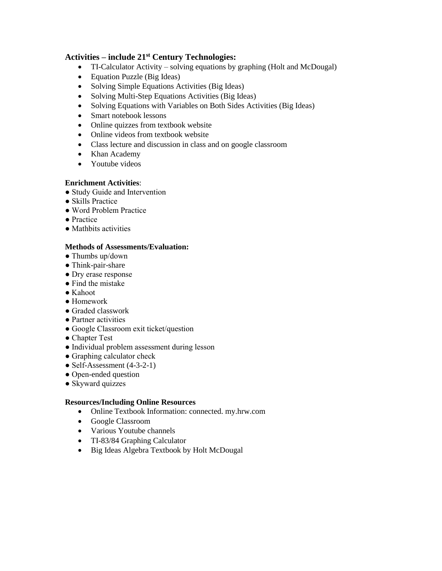# **Activities – include 21st Century Technologies:**

- TI-Calculator Activity solving equations by graphing (Holt and McDougal)
- Equation Puzzle (Big Ideas)
- Solving Simple Equations Activities (Big Ideas)
- Solving Multi-Step Equations Activities (Big Ideas)
- Solving Equations with Variables on Both Sides Activities (Big Ideas)
- Smart notebook lessons
- Online quizzes from textbook website
- Online videos from textbook website
- Class lecture and discussion in class and on google classroom
- Khan Academy
- Youtube videos

#### **Enrichment Activities**:

- Study Guide and Intervention
- Skills Practice
- Word Problem Practice
- Practice
- Mathbits activities

#### **Methods of Assessments/Evaluation:**

- Thumbs up/down
- Think-pair-share
- Dry erase response
- Find the mistake
- Kahoot
- Homework
- Graded classwork
- Partner activities
- Google Classroom exit ticket/question
- Chapter Test
- Individual problem assessment during lesson
- Graphing calculator check
- Self-Assessment  $(4-3-2-1)$
- Open-ended question
- Skyward quizzes

#### **Resources/Including Online Resources**

- Online Textbook Information: connected. my.hrw.com
- Google Classroom
- Various Youtube channels
- TI-83/84 Graphing Calculator
- Big Ideas Algebra Textbook by Holt McDougal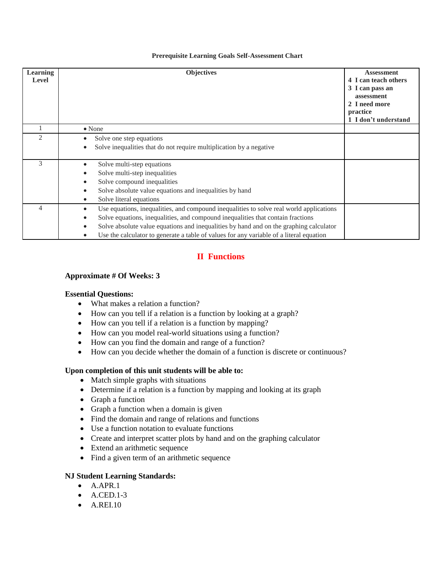#### **Prerequisite Learning Goals Self-Assessment Chart**

| <b>Learning</b><br><b>Level</b> | <b>Objectives</b>                                                                                                                                                                                                                                                                                                                                               | <b>Assessment</b><br>4 I can teach others<br>3 I can pass an<br>assessment<br>2 I need more<br>practice<br>1 I don't understand |
|---------------------------------|-----------------------------------------------------------------------------------------------------------------------------------------------------------------------------------------------------------------------------------------------------------------------------------------------------------------------------------------------------------------|---------------------------------------------------------------------------------------------------------------------------------|
|                                 | $\bullet$ None                                                                                                                                                                                                                                                                                                                                                  |                                                                                                                                 |
| $\mathfrak{D}$                  | Solve one step equations<br>Solve inequalities that do not require multiplication by a negative                                                                                                                                                                                                                                                                 |                                                                                                                                 |
| 3                               | Solve multi-step equations<br>Solve multi-step inequalities<br>Solve compound inequalities<br>Solve absolute value equations and inequalities by hand<br>Solve literal equations                                                                                                                                                                                |                                                                                                                                 |
| 4                               | Use equations, inequalities, and compound inequalities to solve real world applications<br>Solve equations, inequalities, and compound inequalities that contain fractions<br>Solve absolute value equations and inequalities by hand and on the graphing calculator<br>Use the calculator to generate a table of values for any variable of a literal equation |                                                                                                                                 |

# **II Functions**

#### **Approximate # Of Weeks: 3**

#### **Essential Questions:**

- What makes a relation a function?
- How can you tell if a relation is a function by looking at a graph?
- How can you tell if a relation is a function by mapping?
- How can you model real-world situations using a function?
- How can you find the domain and range of a function?
- How can you decide whether the domain of a function is discrete or continuous?

#### **Upon completion of this unit students will be able to:**

- Match simple graphs with situations
- Determine if a relation is a function by mapping and looking at its graph
- Graph a function
- Graph a function when a domain is given
- Find the domain and range of relations and functions
- Use a function notation to evaluate functions
- Create and interpret scatter plots by hand and on the graphing calculator
- Extend an arithmetic sequence
- Find a given term of an arithmetic sequence

#### **NJ Student Learning Standards:**

- $\bullet$  A.APR.1
- $\bullet$  A.CED.1-3
- $\bullet$  A.REI.10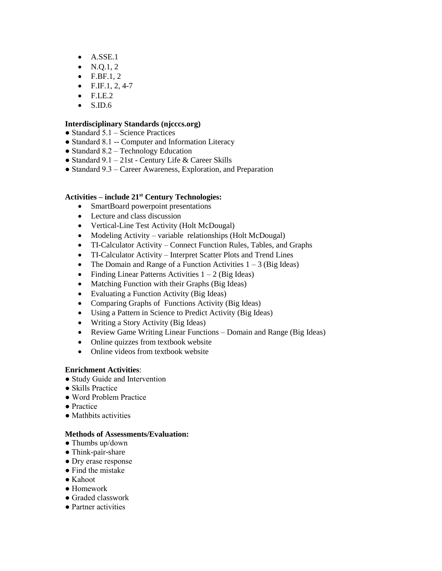- $\bullet$  A.SSE.1
- $N. Q. 1, 2$
- $\bullet$  F.BF.1, 2
- $\bullet$  F.IF.1, 2, 4-7
- $\bullet$  F.LE.2
- $\bullet$  S.ID.6

## **Interdisciplinary Standards (njcccs.org)**

- $\bullet$  Standard 5.1 Science Practices
- Standard 8.1 -- Computer and Information Literacy
- Standard  $8.2$  Technology Education
- Standard 9.1 21st Century Life & Career Skills
- Standard 9.3 Career Awareness, Exploration, and Preparation

#### **Activities – include 21st Century Technologies:**

- SmartBoard powerpoint presentations
- Lecture and class discussion
- Vertical-Line Test Activity (Holt McDougal)
- Modeling Activity variable relationships (Holt McDougal)
- TI-Calculator Activity Connect Function Rules, Tables, and Graphs
- TI-Calculator Activity Interpret Scatter Plots and Trend Lines
- The Domain and Range of a Function Activities  $1 3$  (Big Ideas)
- Finding Linear Patterns Activities  $1 2$  (Big Ideas)
- Matching Function with their Graphs (Big Ideas)
- Evaluating a Function Activity (Big Ideas)
- Comparing Graphs of Functions Activity (Big Ideas)
- Using a Pattern in Science to Predict Activity (Big Ideas)
- Writing a Story Activity (Big Ideas)
- Review Game Writing Linear Functions Domain and Range (Big Ideas)
- Online quizzes from textbook website
- Online videos from textbook website

#### **Enrichment Activities**:

- Study Guide and Intervention
- Skills Practice
- Word Problem Practice
- Practice
- Mathbits activities

- Thumbs up/down
- Think-pair-share
- Dry erase response
- Find the mistake
- Kahoot
- Homework
- Graded classwork
- Partner activities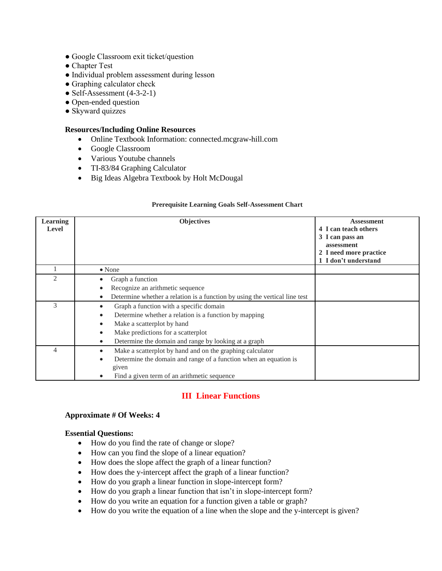- Google Classroom exit ticket/question
- Chapter Test
- Individual problem assessment during lesson
- Graphing calculator check
- $\bullet$  Self-Assessment (4-3-2-1)
- Open-ended question
- Skyward quizzes

- Online Textbook Information: connected.mcgraw-hill.com
- Google Classroom
- Various Youtube channels
- TI-83/84 Graphing Calculator
- Big Ideas Algebra Textbook by Holt McDougal

#### **Prerequisite Learning Goals Self-Assessment Chart**

| <b>Learning</b><br><b>Level</b> | <b>Objectives</b>                                                                                                                                                                                                                                                                | <b>Assessment</b><br>4 I can teach others<br>3 I can pass an<br>assessment<br>2 I need more practice<br>1 I don't understand |
|---------------------------------|----------------------------------------------------------------------------------------------------------------------------------------------------------------------------------------------------------------------------------------------------------------------------------|------------------------------------------------------------------------------------------------------------------------------|
|                                 | $\bullet$ None                                                                                                                                                                                                                                                                   |                                                                                                                              |
| っ                               | Graph a function<br>Recognize an arithmetic sequence<br>Determine whether a relation is a function by using the vertical line test                                                                                                                                               |                                                                                                                              |
| 3                               | Graph a function with a specific domain<br>Determine whether a relation is a function by mapping<br>$\bullet$<br>Make a scatterplot by hand<br>$\bullet$<br>Make predictions for a scatterplot<br>$\bullet$<br>Determine the domain and range by looking at a graph<br>$\bullet$ |                                                                                                                              |
| 4                               | Make a scatterplot by hand and on the graphing calculator<br>$\bullet$<br>Determine the domain and range of a function when an equation is<br>$\bullet$<br>given<br>Find a given term of an arithmetic sequence                                                                  |                                                                                                                              |

#### **III Linear Functions**

#### **Approximate # Of Weeks: 4**

#### **Essential Questions:**

- How do you find the rate of change or slope?
- How can you find the slope of a linear equation?
- How does the slope affect the graph of a linear function?
- How does the y-intercept affect the graph of a linear function?
- How do you graph a linear function in slope-intercept form?
- How do you graph a linear function that isn't in slope-intercept form?
- How do you write an equation for a function given a table or graph?
- How do you write the equation of a line when the slope and the y-intercept is given?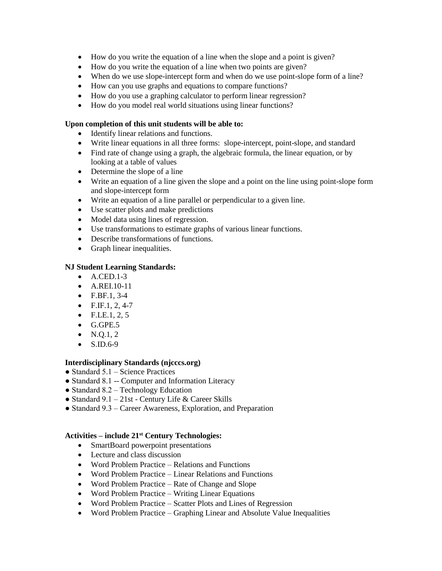- How do you write the equation of a line when the slope and a point is given?
- How do you write the equation of a line when two points are given?
- When do we use slope-intercept form and when do we use point-slope form of a line?
- How can you use graphs and equations to compare functions?
- How do you use a graphing calculator to perform linear regression?
- How do you model real world situations using linear functions?

#### **Upon completion of this unit students will be able to:**

- Identify linear relations and functions.
- Write linear equations in all three forms: slope-intercept, point-slope, and standard
- Find rate of change using a graph, the algebraic formula, the linear equation, or by looking at a table of values
- Determine the slope of a line
- Write an equation of a line given the slope and a point on the line using point-slope form and slope-intercept form
- Write an equation of a line parallel or perpendicular to a given line.
- Use scatter plots and make predictions
- Model data using lines of regression.
- Use transformations to estimate graphs of various linear functions.
- Describe transformations of functions.
- Graph linear inequalities.

## **NJ Student Learning Standards:**

- $\bullet$  A.CED.1-3
- A.REI.10-11
- $F.BF.1, 3-4$
- $\bullet$  F.IF.1, 2, 4-7
- $\bullet$  F.LE.1, 2, 5
- $\bullet$  G.GPE.5
- $\bullet$  N.O.1, 2
- $\bullet$  S.ID.6-9

#### **Interdisciplinary Standards (njcccs.org)**

- Standard  $5.1$  Science Practices
- Standard 8.1 -- Computer and Information Literacy
- Standard 8.2 Technology Education
- Standard 9.1 21st Century Life & Career Skills
- Standard 9.3 Career Awareness, Exploration, and Preparation

#### **Activities – include 21st Century Technologies:**

- SmartBoard powerpoint presentations
- Lecture and class discussion
- Word Problem Practice Relations and Functions
- Word Problem Practice Linear Relations and Functions
- Word Problem Practice Rate of Change and Slope
- Word Problem Practice Writing Linear Equations
- Word Problem Practice Scatter Plots and Lines of Regression
- Word Problem Practice Graphing Linear and Absolute Value Inequalities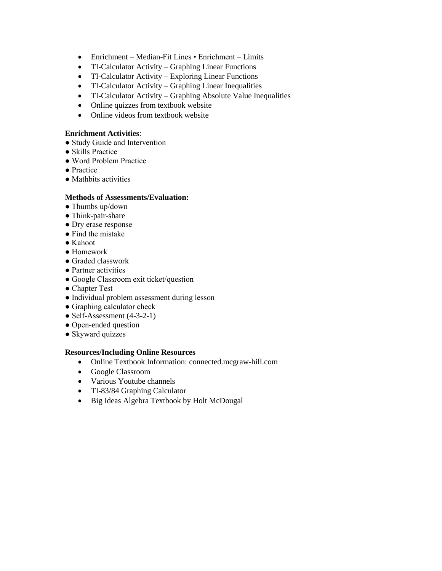- Enrichment Median-Fit Lines Enrichment Limits
- TI-Calculator Activity Graphing Linear Functions
- TI-Calculator Activity Exploring Linear Functions
- TI-Calculator Activity Graphing Linear Inequalities
- TI-Calculator Activity Graphing Absolute Value Inequalities
- Online quizzes from textbook website
- Online videos from textbook website

#### **Enrichment Activities**:

- Study Guide and Intervention
- Skills Practice
- Word Problem Practice
- Practice
- Mathbits activities

## **Methods of Assessments/Evaluation:**

- Thumbs up/down
- Think-pair-share
- Dry erase response
- Find the mistake
- Kahoot
- Homework
- Graded classwork
- Partner activities
- Google Classroom exit ticket/question
- Chapter Test
- Individual problem assessment during lesson
- Graphing calculator check
- Self-Assessment  $(4-3-2-1)$
- Open-ended question
- Skyward quizzes

## **Resources/Including Online Resources**

- Online Textbook Information: connected.mcgraw-hill.com
- Google Classroom
- Various Youtube channels
- TI-83/84 Graphing Calculator
- Big Ideas Algebra Textbook by Holt McDougal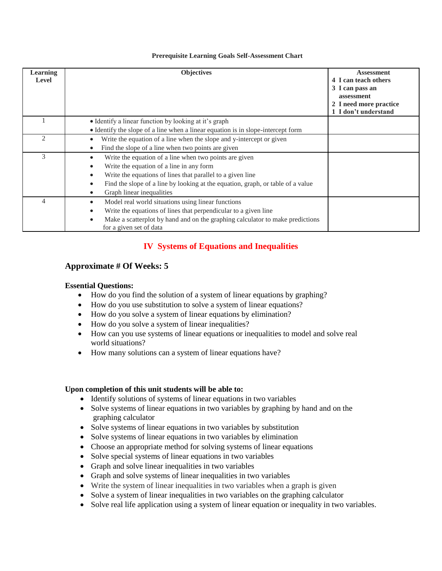#### **Prerequisite Learning Goals Self-Assessment Chart**

| <b>Learning</b><br>Level | <b>Objectives</b>                                                                                                     | <b>Assessment</b><br>4 I can teach others<br>3 I can pass an<br>assessment<br>2 I need more practice<br>1 I don't understand |
|--------------------------|-----------------------------------------------------------------------------------------------------------------------|------------------------------------------------------------------------------------------------------------------------------|
|                          | • Identify a linear function by looking at it's graph                                                                 |                                                                                                                              |
|                          | • Identify the slope of a line when a linear equation is in slope-intercept form                                      |                                                                                                                              |
| $\mathfrak{D}$           | Write the equation of a line when the slope and y-intercept or given                                                  |                                                                                                                              |
|                          | Find the slope of a line when two points are given                                                                    |                                                                                                                              |
| 3                        | Write the equation of a line when two points are given<br>$\bullet$                                                   |                                                                                                                              |
|                          | Write the equation of a line in any form<br>$\bullet$                                                                 |                                                                                                                              |
|                          | Write the equations of lines that parallel to a given line<br>$\bullet$                                               |                                                                                                                              |
|                          | Find the slope of a line by looking at the equation, graph, or table of a value<br>$\bullet$                          |                                                                                                                              |
|                          | Graph linear inequalities                                                                                             |                                                                                                                              |
| 4                        | Model real world situations using linear functions<br>$\bullet$                                                       |                                                                                                                              |
|                          | Write the equations of lines that perpendicular to a given line<br>$\bullet$                                          |                                                                                                                              |
|                          | Make a scatterplot by hand and on the graphing calculator to make predictions<br>$\bullet$<br>for a given set of data |                                                                                                                              |

# **IV Systems of Equations and Inequalities**

## **Approximate # Of Weeks: 5**

#### **Essential Questions:**

- How do you find the solution of a system of linear equations by graphing?
- How do you use substitution to solve a system of linear equations?
- How do you solve a system of linear equations by elimination?
- How do you solve a system of linear inequalities?
- How can you use systems of linear equations or inequalities to model and solve real world situations?
- How many solutions can a system of linear equations have?

- Identify solutions of systems of linear equations in two variables
- Solve systems of linear equations in two variables by graphing by hand and on the graphing calculator
- Solve systems of linear equations in two variables by substitution
- Solve systems of linear equations in two variables by elimination
- Choose an appropriate method for solving systems of linear equations
- Solve special systems of linear equations in two variables
- Graph and solve linear inequalities in two variables
- Graph and solve systems of linear inequalities in two variables
- Write the system of linear inequalities in two variables when a graph is given
- Solve a system of linear inequalities in two variables on the graphing calculator
- Solve real life application using a system of linear equation or inequality in two variables.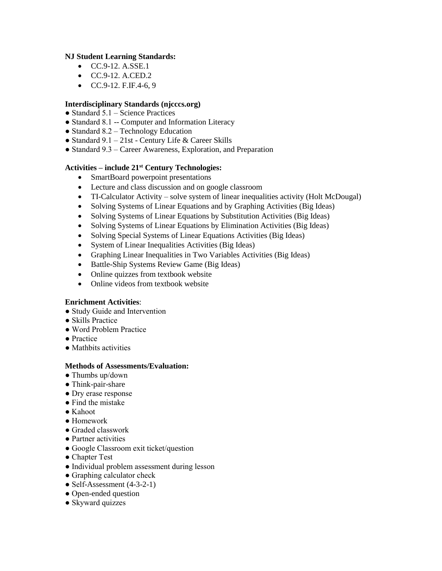#### **NJ Student Learning Standards:**

- $CC.9-12. A. SSE.1$
- CC.9-12. A.CED.2
- $CC.9-12.$  F.IF.4-6, 9

### **Interdisciplinary Standards (njcccs.org)**

- $\bullet$  Standard 5.1 Science Practices
- Standard 8.1 -- Computer and Information Literacy
- Standard  $8.2$  Technology Education
- Standard  $9.1 21$ st Century Life & Career Skills
- Standard 9.3 Career Awareness, Exploration, and Preparation

## **Activities – include 21st Century Technologies:**

- SmartBoard powerpoint presentations
- Lecture and class discussion and on google classroom
- TI-Calculator Activity solve system of linear inequalities activity (Holt McDougal)
- Solving Systems of Linear Equations and by Graphing Activities (Big Ideas)
- Solving Systems of Linear Equations by Substitution Activities (Big Ideas)
- Solving Systems of Linear Equations by Elimination Activities (Big Ideas)
- Solving Special Systems of Linear Equations Activities (Big Ideas)
- System of Linear Inequalities Activities (Big Ideas)
- Graphing Linear Inequalities in Two Variables Activities (Big Ideas)
- Battle-Ship Systems Review Game (Big Ideas)
- Online quizzes from textbook website
- Online videos from textbook website

#### **Enrichment Activities**:

- Study Guide and Intervention
- Skills Practice
- Word Problem Practice
- Practice
- Mathbits activities

- $\bullet$  Thumbs up/down
- Think-pair-share
- Dry erase response
- Find the mistake
- Kahoot
- Homework
- Graded classwork
- Partner activities
- Google Classroom exit ticket/question
- Chapter Test
- Individual problem assessment during lesson
- Graphing calculator check
- Self-Assessment  $(4-3-2-1)$
- Open-ended question
- Skyward quizzes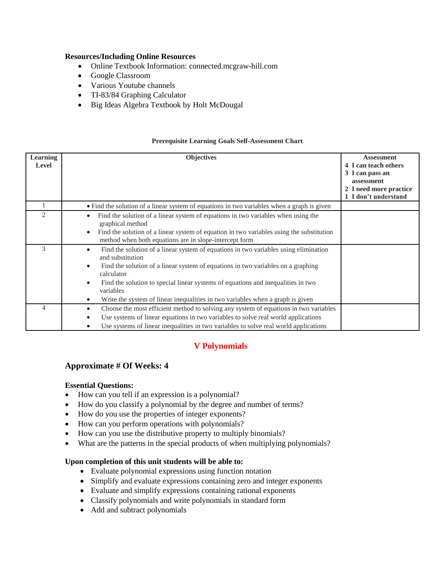- Online Textbook Information: connected.mcgraw-hill.com
- Google Classroom
- Various Youtube channels
- TI-83/84 Graphing Calculator
- Big Ideas Algebra Textbook by Holt McDougal

#### **Prerequisite Learning Goals Self-Assessment Chart**

| <b>Learning</b><br>Level | <b>Objectives</b>                                                                                                                                                                                                                                                                                                                                                                                                                    | <b>Assessment</b><br>4 I can teach others<br>3 I can pass an<br>assessment<br>2 I need more practice<br>1 I don't understand |
|--------------------------|--------------------------------------------------------------------------------------------------------------------------------------------------------------------------------------------------------------------------------------------------------------------------------------------------------------------------------------------------------------------------------------------------------------------------------------|------------------------------------------------------------------------------------------------------------------------------|
|                          | • Find the solution of a linear system of equations in two variables when a graph is given                                                                                                                                                                                                                                                                                                                                           |                                                                                                                              |
| $\overline{2}$           | Find the solution of a linear system of equations in two variables when using the<br>graphical method<br>Find the solution of a linear system of equation in two variables using the substitution<br>method when both equations are in slope-intercept form                                                                                                                                                                          |                                                                                                                              |
| 3                        | Find the solution of a linear system of equations in two variables using elimination<br>$\bullet$<br>and substitution<br>Find the solution of a linear system of equations in two variables on a graphing<br>$\bullet$<br>calculator<br>Find the solution to special linear systems of equations and inequalities in two<br>variables<br>Write the system of linear inequalities in two variables when a graph is given<br>$\bullet$ |                                                                                                                              |
| 4                        | Choose the most efficient method to solving any system of equations in two variables<br>Use systems of linear equations in two variables to solve real world applications<br>Use systems of linear inequalities in two variables to solve real world applications                                                                                                                                                                    |                                                                                                                              |

# **V Polynomials**

## **Approximate # Of Weeks: 4**

#### **Essential Questions:**

- How can you tell if an expression is a polynomial?
- How do you classify a polynomial by the degree and number of terms?
- How do you use the properties of integer exponents?
- How can you perform operations with polynomials?
- How can you use the distributive property to multiply binomials?
- What are the patterns in the special products of when multiplying polynomials?

- Evaluate polynomial expressions using function notation
- Simplify and evaluate expressions containing zero and integer exponents
- Evaluate and simplify expressions containing rational exponents
- Classify polynomials and write polynomials in standard form
- Add and subtract polynomials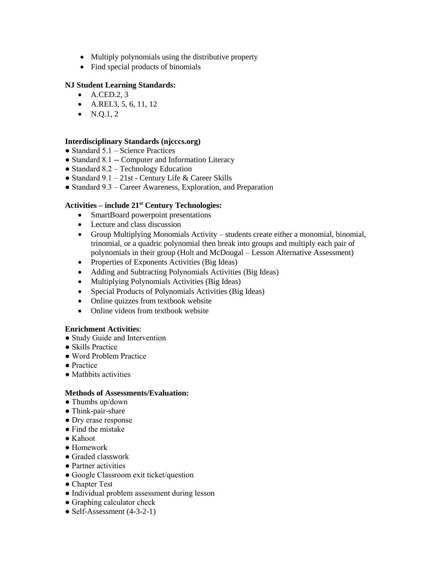- Multiply polynomials using the distributive property
- Find special products of binomials

## **NJ Student Learning Standards:**

- $\bullet$  A.CED.2, 3
- $\bullet$  A.REI.3, 5, 6, 11, 12
- $N.Q.1, 2$

#### **Interdisciplinary Standards (njcccs.org)**

- $\bullet$  Standard 5.1 Science Practices
- Standard 8.1 -- Computer and Information Literacy
- Standard 8.2 Technology Education
- Standard 9.1 21st Century Life & Career Skills
- Standard 9.3 Career Awareness, Exploration, and Preparation

#### **Activities – include 21st Century Technologies:**

- SmartBoard powerpoint presentations
- Lecture and class discussion
- Group Multiplying Monomials Activity students create either a monomial, binomial, trinomial, or a quadric polynomial then break into groups and multiply each pair of polynomials in their group (Holt and McDougal – Lesson Alternative Assessment)
- Properties of Exponents Activities (Big Ideas)
- Adding and Subtracting Polynomials Activities (Big Ideas)
- Multiplying Polynomials Activities (Big Ideas)
- Special Products of Polynomials Activities (Big Ideas)
- Online quizzes from textbook website
- Online videos from textbook website

#### **Enrichment Activities**:

- Study Guide and Intervention
- Skills Practice
- Word Problem Practice
- Practice
- Mathbits activities

- Thumbs up/down
- Think-pair-share
- Dry erase response
- Find the mistake
- Kahoot
- Homework
- Graded classwork
- Partner activities
- Google Classroom exit ticket/question
- Chapter Test
- Individual problem assessment during lesson
- Graphing calculator check
- Self-Assessment (4-3-2-1)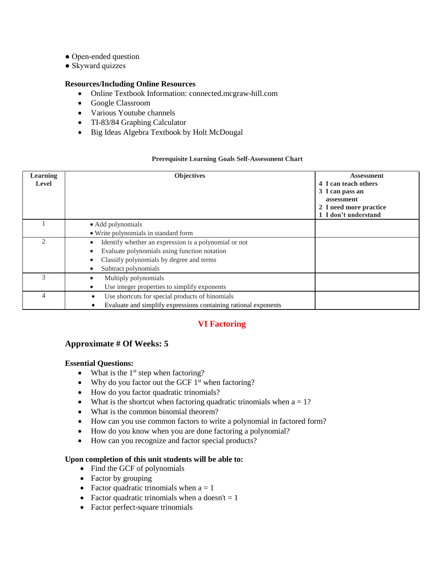- Open-ended question
- Skyward quizzes

- Online Textbook Information: connected.mcgraw-hill.com
- Google Classroom
- Various Youtube channels
- TI-83/84 Graphing Calculator
- Big Ideas Algebra Textbook by Holt McDougal

## **Prerequisite Learning Goals Self-Assessment Chart**

| <b>Learning</b><br>Level    | <b>Objectives</b>                                                                                                                                                         | <b>Assessment</b><br>4 I can teach others<br>3 I can pass an<br>assessment<br>2 I need more practice<br>1 I don't understand |
|-----------------------------|---------------------------------------------------------------------------------------------------------------------------------------------------------------------------|------------------------------------------------------------------------------------------------------------------------------|
|                             | • Add polynomials<br>• Write polynomials in standard form                                                                                                                 |                                                                                                                              |
| $\mathcal{D}_{\mathcal{A}}$ | Identify whether an expression is a polynomial or not<br>Evaluate polynomials using function notation<br>Classify polynomials by degree and terms<br>Subtract polynomials |                                                                                                                              |
|                             | Multiply polynomials<br>Use integer properties to simplify exponents<br>٠                                                                                                 |                                                                                                                              |
| 4                           | Use shortcuts for special products of binomials<br>$\bullet$<br>Evaluate and simplify expressions containing rational exponents                                           |                                                                                                                              |

# **VI Factoring**

## **Approximate # Of Weeks: 5**

## **Essential Questions:**

- $\bullet$  What is the 1<sup>st</sup> step when factoring?
- Why do you factor out the GCF  $1<sup>st</sup>$  when factoring?
- How do you factor quadratic trinomials?
- What is the shortcut when factoring quadratic trinomials when  $a = 1$ ?
- What is the common binomial theorem?
- How can you use common factors to write a polynomial in factored form?
- How do you know when you are done factoring a polynomial?
- How can you recognize and factor special products?

- Find the GCF of polynomials
- Factor by grouping
- Factor quadratic trinomials when  $a = 1$
- Factor quadratic trinomials when a doesn't  $= 1$
- Factor perfect-square trinomials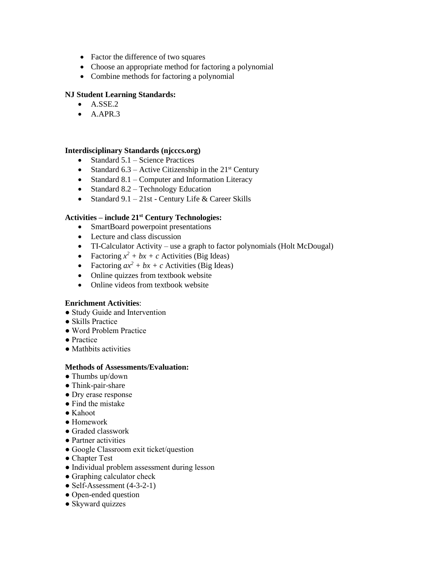- Factor the difference of two squares
- Choose an appropriate method for factoring a polynomial
- Combine methods for factoring a polynomial

### **NJ Student Learning Standards:**

- $\bullet$  A.SSE.2
- $\bullet$  A.APR.3

#### **Interdisciplinary Standards (njcccs.org)**

- Standard  $5.1$  Science Practices
- Standard  $6.3$  Active Citizenship in the  $21<sup>st</sup>$  Century
- Standard  $8.1$  Computer and Information Literacy
- Standard  $8.2$  Technology Education
- Standard  $9.1 21$ st Century Life & Career Skills

#### **Activities – include 21st Century Technologies:**

- SmartBoard powerpoint presentations
- Lecture and class discussion
- TI-Calculator Activity use a graph to factor polynomials (Holt McDougal)
- Factoring  $x^2 + bx + c$  Activities (Big Ideas)
- Factoring  $ax^2 + bx + c$  Activities (Big Ideas)
- Online quizzes from textbook website
- Online videos from textbook website

#### **Enrichment Activities**:

- Study Guide and Intervention
- Skills Practice
- Word Problem Practice
- Practice
- Mathbits activities

- Thumbs up/down
- Think-pair-share
- Dry erase response
- Find the mistake
- Kahoot
- Homework
- Graded classwork
- Partner activities
- Google Classroom exit ticket/question
- Chapter Test
- Individual problem assessment during lesson
- Graphing calculator check
- Self-Assessment  $(4-3-2-1)$
- Open-ended question
- Skyward quizzes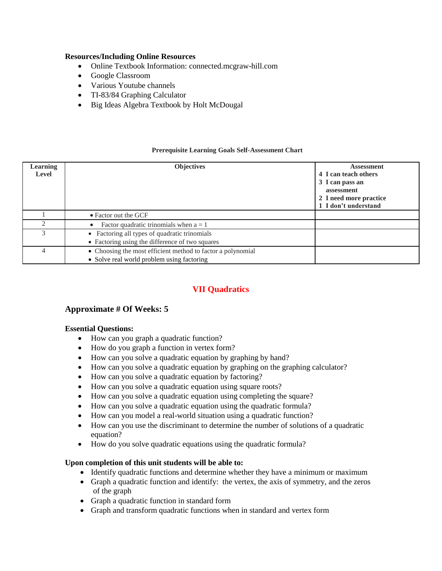- Online Textbook Information: connected.mcgraw-hill.com
- Google Classroom
- Various Youtube channels
- TI-83/84 Graphing Calculator
- Big Ideas Algebra Textbook by Holt McDougal

#### **Prerequisite Learning Goals Self-Assessment Chart**

| Learning<br><b>Level</b> | <b>Objectives</b>                                                                                         | <b>Assessment</b><br>4 I can teach others<br>3 I can pass an<br>assessment<br>2 I need more practice<br>1 I don't understand |
|--------------------------|-----------------------------------------------------------------------------------------------------------|------------------------------------------------------------------------------------------------------------------------------|
|                          | • Factor out the GCF                                                                                      |                                                                                                                              |
|                          | Factor quadratic trinomials when $a = 1$                                                                  |                                                                                                                              |
|                          | • Factoring all types of quadratic trinomials<br>• Factoring using the difference of two squares          |                                                                                                                              |
| 4                        | • Choosing the most efficient method to factor a polynomial<br>• Solve real world problem using factoring |                                                                                                                              |

# **VII Quadratics**

## **Approximate # Of Weeks: 5**

#### **Essential Questions:**

- How can you graph a quadratic function?
- How do you graph a function in vertex form?
- How can you solve a quadratic equation by graphing by hand?
- How can you solve a quadratic equation by graphing on the graphing calculator?
- How can you solve a quadratic equation by factoring?
- How can you solve a quadratic equation using square roots?
- How can you solve a quadratic equation using completing the square?
- How can you solve a quadratic equation using the quadratic formula?
- How can you model a real-world situation using a quadratic function?
- How can you use the discriminant to determine the number of solutions of a quadratic equation?
- How do you solve quadratic equations using the quadratic formula?

- Identify quadratic functions and determine whether they have a minimum or maximum
- Graph a quadratic function and identify: the vertex, the axis of symmetry, and the zeros of the graph
- Graph a quadratic function in standard form
- Graph and transform quadratic functions when in standard and vertex form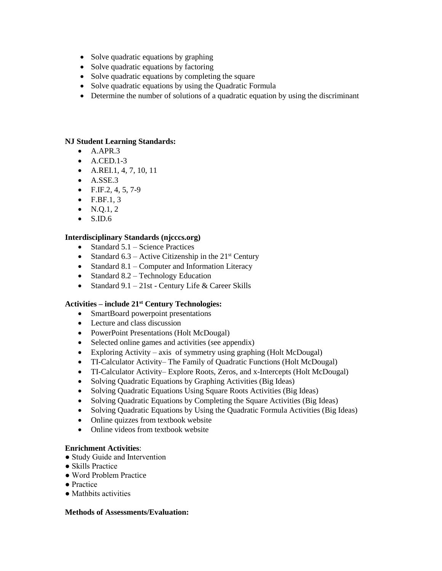- Solve quadratic equations by graphing
- Solve quadratic equations by factoring
- Solve quadratic equations by completing the square
- Solve quadratic equations by using the Quadratic Formula
- Determine the number of solutions of a quadratic equation by using the discriminant

#### **NJ Student Learning Standards:**

- $\bullet$  A.APR.3
- $\bullet$  A.CED.1-3
- A.REI.1, 4, 7, 10, 11
- $\bullet$  A.SSE.3
- $\bullet$  F.IF.2, 4, 5, 7-9
- $\bullet$  F.BF.1, 3
- $\bullet$  N.Q.1, 2
- $\bullet$  S.ID.6

## **Interdisciplinary Standards (njcccs.org)**

- $\bullet$  Standard 5.1 Science Practices
- Standard  $6.3$  Active Citizenship in the  $21<sup>st</sup>$  Century
- Standard  $8.1$  Computer and Information Literacy
- Standard  $8.2$  Technology Education
- Standard  $9.1 21$ st Century Life & Career Skills

#### **Activities – include 21st Century Technologies:**

- SmartBoard powerpoint presentations
- Lecture and class discussion
- PowerPoint Presentations (Holt McDougal)
- Selected online games and activities (see appendix)
- Exploring Activity axis of symmetry using graphing (Holt McDougal)
- TI-Calculator Activity– The Family of Quadratic Functions (Holt McDougal)
- TI-Calculator Activity– Explore Roots, Zeros, and x-Intercepts (Holt McDougal)
- Solving Quadratic Equations by Graphing Activities (Big Ideas)
- Solving Quadratic Equations Using Square Roots Activities (Big Ideas)
- Solving Quadratic Equations by Completing the Square Activities (Big Ideas)
- Solving Quadratic Equations by Using the Quadratic Formula Activities (Big Ideas)
- Online quizzes from textbook website
- Online videos from textbook website

#### **Enrichment Activities**:

- Study Guide and Intervention
- Skills Practice
- Word Problem Practice
- Practice
- Mathbits activities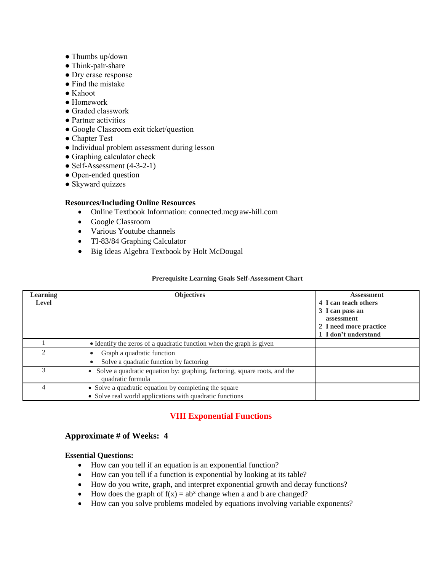- Thumbs up/down
- Think-pair-share
- Dry erase response
- Find the mistake
- Kahoot
- Homework
- Graded classwork
- Partner activities
- Google Classroom exit ticket/question
- Chapter Test
- Individual problem assessment during lesson
- Graphing calculator check
- Self-Assessment (4-3-2-1)
- Open-ended question
- Skyward quizzes

- Online Textbook Information: connected.mcgraw-hill.com
- Google Classroom
- Various Youtube channels
- TI-83/84 Graphing Calculator
- Big Ideas Algebra Textbook by Holt McDougal

#### **Prerequisite Learning Goals Self-Assessment Chart**

|                 |                                                                                                  | <b>Assessment</b>      |
|-----------------|--------------------------------------------------------------------------------------------------|------------------------|
| <b>Learning</b> | <b>Objectives</b>                                                                                |                        |
| Level           |                                                                                                  | 4 I can teach others   |
|                 |                                                                                                  | 3 I can pass an        |
|                 |                                                                                                  | assessment             |
|                 |                                                                                                  | 2 I need more practice |
|                 |                                                                                                  | 1 I don't understand   |
|                 | • Identify the zeros of a quadratic function when the graph is given                             |                        |
|                 | Graph a quadratic function                                                                       |                        |
|                 | Solve a quadratic function by factoring                                                          |                        |
|                 | • Solve a quadratic equation by: graphing, factoring, square roots, and the<br>quadratic formula |                        |
| 4               | • Solve a quadratic equation by completing the square                                            |                        |
|                 | • Solve real world applications with quadratic functions                                         |                        |

## **VIII Exponential Functions**

### **Approximate # of Weeks: 4**

#### **Essential Questions:**

- How can you tell if an equation is an exponential function?
- How can you tell if a function is exponential by looking at its table?
- How do you write, graph, and interpret exponential growth and decay functions?
- How does the graph of  $f(x) = ab^x$  change when a and b are changed?
- How can you solve problems modeled by equations involving variable exponents?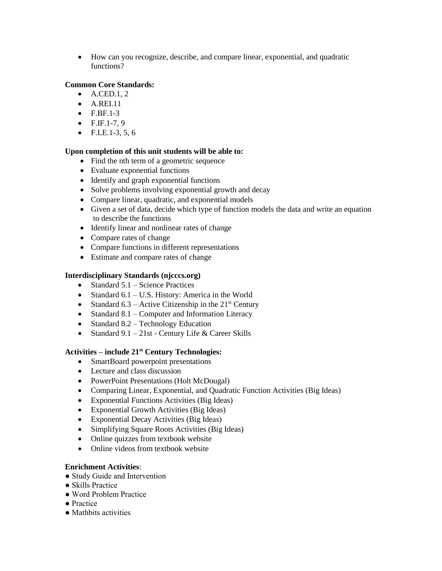How can you recognize, describe, and compare linear, exponential, and quadratic functions?

### **Common Core Standards:**

- $\bullet$  A.CED.1, 2
- A.REI.11
- $\bullet$  F.BF.1-3
- $\bullet$  F.IF.1-7, 9
- $\bullet$  F.LE.1-3, 5, 6

## **Upon completion of this unit students will be able to:**

- Find the nth term of a geometric sequence
- Evaluate exponential functions
- Identify and graph exponential functions
- Solve problems involving exponential growth and decay
- Compare linear, quadratic, and exponential models
- Given a set of data, decide which type of function models the data and write an equation to describe the functions
- Identify linear and nonlinear rates of change
- Compare rates of change
- Compare functions in different representations
- Estimate and compare rates of change

## **Interdisciplinary Standards (njcccs.org)**

- $\bullet$  Standard 5.1 Science Practices
- Standard  $6.1 U.S.$  History: America in the World
- Standard  $6.3$  Active Citizenship in the  $21<sup>st</sup>$  Century
- Standard  $8.1$  Computer and Information Literacy
- Standard 8.2 Technology Education
- Standard  $9.1 21$ st Century Life & Career Skills

#### **Activities – include 21st Century Technologies:**

- SmartBoard powerpoint presentations
- Lecture and class discussion
- PowerPoint Presentations (Holt McDougal)
- Comparing Linear, Exponential, and Quadratic Function Activities (Big Ideas)
- Exponential Functions Activities (Big Ideas)
- Exponential Growth Activities (Big Ideas)
- Exponential Decay Activities (Big Ideas)
- Simplifying Square Roots Activities (Big Ideas)
- Online quizzes from textbook website
- Online videos from textbook website

#### **Enrichment Activities**:

- Study Guide and Intervention
- Skills Practice
- Word Problem Practice
- Practice
- Mathbits activities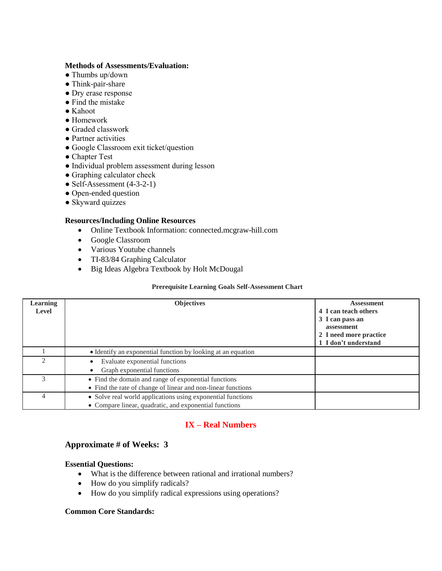#### **Methods of Assessments/Evaluation:**

- Thumbs up/down
- Think-pair-share
- Dry erase response
- Find the mistake
- Kahoot
- Homework
- Graded classwork
- Partner activities
- Google Classroom exit ticket/question
- Chapter Test
- Individual problem assessment during lesson
- Graphing calculator check
- Self-Assessment  $(4-3-2-1)$
- Open-ended question
- Skyward quizzes

#### **Resources/Including Online Resources**

- Online Textbook Information: connected.mcgraw-hill.com
- Google Classroom
- Various Youtube channels
- TI-83/84 Graphing Calculator
- Big Ideas Algebra Textbook by Holt McDougal

#### **Prerequisite Learning Goals Self-Assessment Chart**

| <b>Learning</b>             | <b>Objectives</b>                                            | <b>Assessment</b>      |
|-----------------------------|--------------------------------------------------------------|------------------------|
| <b>Level</b>                |                                                              | 4 I can teach others   |
|                             |                                                              | 3 I can pass an        |
|                             |                                                              | assessment             |
|                             |                                                              | 2 I need more practice |
|                             |                                                              | 1 I don't understand   |
|                             | • Identify an exponential function by looking at an equation |                        |
| $\mathcal{D}_{\mathcal{A}}$ | Evaluate exponential functions                               |                        |
|                             | Graph exponential functions                                  |                        |
|                             | • Find the domain and range of exponential functions         |                        |
|                             | • Find the rate of change of linear and non-linear functions |                        |
| 4                           | • Solve real world applications using exponential functions  |                        |
|                             | • Compare linear, quadratic, and exponential functions       |                        |

# **IX – Real Numbers**

## **Approximate # of Weeks: 3**

#### **Essential Questions:**

- What is the difference between rational and irrational numbers?
- How do you simplify radicals?
- How do you simplify radical expressions using operations?

#### **Common Core Standards:**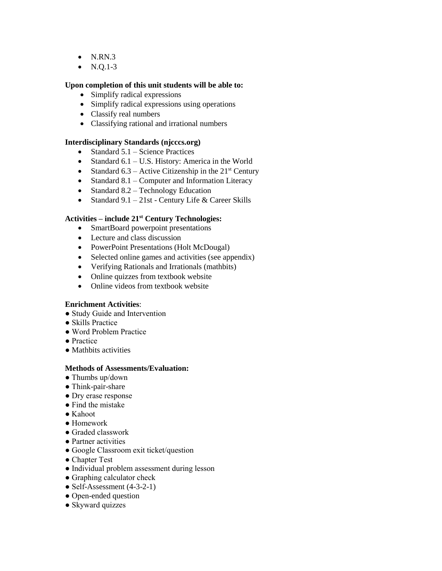- $\bullet$  N.RN.3
- $\bullet$  N.Q.1-3

#### **Upon completion of this unit students will be able to:**

- Simplify radical expressions
- Simplify radical expressions using operations
- Classify real numbers
- Classifying rational and irrational numbers

#### **Interdisciplinary Standards (njcccs.org)**

- $\bullet$  Standard 5.1 Science Practices
- Standard  $6.1 U.S.$  History: America in the World
- Standard 6.3 Active Citizenship in the  $21<sup>st</sup>$  Century
- Standard  $8.1$  Computer and Information Literacy
- Standard  $8.2$  Technology Education
- Standard  $9.1 21$ st Century Life & Career Skills

## **Activities – include 21st Century Technologies:**

- SmartBoard powerpoint presentations
- Lecture and class discussion
- PowerPoint Presentations (Holt McDougal)
- Selected online games and activities (see appendix)
- Verifying Rationals and Irrationals (mathbits)
- Online quizzes from textbook website
- Online videos from textbook website

#### **Enrichment Activities**:

- Study Guide and Intervention
- Skills Practice
- Word Problem Practice
- Practice
- Mathbits activities

- Thumbs up/down
- Think-pair-share
- Dry erase response
- Find the mistake
- Kahoot
- Homework
- Graded classwork
- Partner activities
- Google Classroom exit ticket/question
- Chapter Test
- Individual problem assessment during lesson
- Graphing calculator check
- Self-Assessment  $(4-3-2-1)$
- Open-ended question
- Skyward quizzes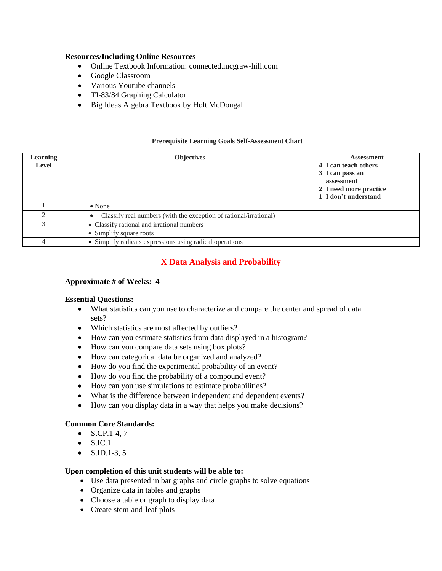- Online Textbook Information: connected.mcgraw-hill.com
- Google Classroom
- Various Youtube channels
- TI-83/84 Graphing Calculator
- Big Ideas Algebra Textbook by Holt McDougal

#### **Prerequisite Learning Goals Self-Assessment Chart**

| <b>Learning</b><br>Level | <b>Objectives</b>                                                 | <b>Assessment</b><br>4 I can teach others<br>3 I can pass an<br>assessment<br>2 I need more practice |
|--------------------------|-------------------------------------------------------------------|------------------------------------------------------------------------------------------------------|
|                          |                                                                   | 1 I don't understand                                                                                 |
|                          | $\bullet$ None                                                    |                                                                                                      |
|                          | Classify real numbers (with the exception of rational/irrational) |                                                                                                      |
|                          | • Classify rational and irrational numbers                        |                                                                                                      |
|                          | • Simplify square roots                                           |                                                                                                      |
|                          | • Simplify radicals expressions using radical operations          |                                                                                                      |

## **X Data Analysis and Probability**

#### **Approximate # of Weeks: 4**

#### **Essential Questions:**

- What statistics can you use to characterize and compare the center and spread of data sets?
- Which statistics are most affected by outliers?
- How can you estimate statistics from data displayed in a histogram?
- How can you compare data sets using box plots?
- How can categorical data be organized and analyzed?
- How do you find the experimental probability of an event?
- How do you find the probability of a compound event?
- How can you use simulations to estimate probabilities?
- What is the difference between independent and dependent events?
- How can you display data in a way that helps you make decisions?

#### **Common Core Standards:**

- $\bullet$  S.CP.1-4, 7
- $\bullet$  S.IC.1
- $\bullet$  S.ID.1-3, 5

- Use data presented in bar graphs and circle graphs to solve equations
- Organize data in tables and graphs
- Choose a table or graph to display data
- Create stem-and-leaf plots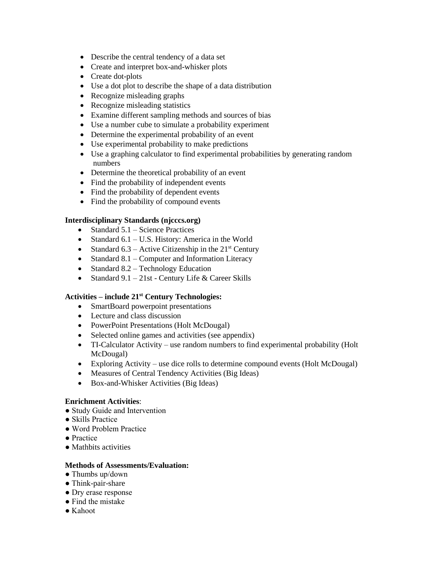- Describe the central tendency of a data set
- Create and interpret box-and-whisker plots
- Create dot-plots
- Use a dot plot to describe the shape of a data distribution
- Recognize misleading graphs
- Recognize misleading statistics
- Examine different sampling methods and sources of bias
- Use a number cube to simulate a probability experiment
- Determine the experimental probability of an event
- Use experimental probability to make predictions
- Use a graphing calculator to find experimental probabilities by generating random numbers
- Determine the theoretical probability of an event
- Find the probability of independent events
- Find the probability of dependent events
- Find the probability of compound events

## **Interdisciplinary Standards (njcccs.org)**

- Standard  $5.1$  Science Practices
- Standard  $6.1 U.S.$  History: America in the World
- Standard 6.3 Active Citizenship in the  $21<sup>st</sup>$  Century
- Standard  $8.1$  Computer and Information Literacy
- $\bullet$  Standard 8.2 Technology Education
- Standard  $9.1 21$ st Century Life & Career Skills

#### **Activities – include 21st Century Technologies:**

- SmartBoard powerpoint presentations
- Lecture and class discussion
- PowerPoint Presentations (Holt McDougal)
- Selected online games and activities (see appendix)
- TI-Calculator Activity use random numbers to find experimental probability (Holt McDougal)
- Exploring Activity use dice rolls to determine compound events (Holt McDougal)
- Measures of Central Tendency Activities (Big Ideas)
- Box-and-Whisker Activities (Big Ideas)

#### **Enrichment Activities**:

- Study Guide and Intervention
- Skills Practice
- Word Problem Practice
- Practice
- Mathbits activities

- Thumbs up/down
- Think-pair-share
- Dry erase response
- Find the mistake
- Kahoot